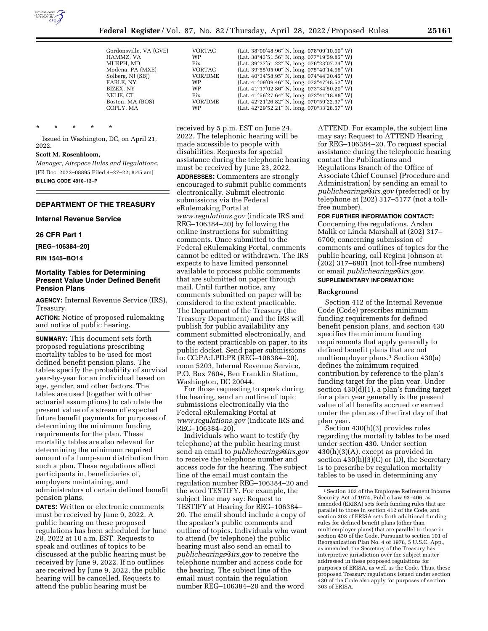

| Gordonsville, VA (GVE) | VORTAC         | (Lat. $38^{\circ}00'48.96''$ N, long. $078^{\circ}09'10.90''$ W) |
|------------------------|----------------|------------------------------------------------------------------|
| HAMMZ, VA              | WP             | (Lat. 38°43'51.56" N, long. 077°19'59.85" W)                     |
| MURPH, MD              | Fix            | (Lat. 39°27'51.22" N, long. 076°23'07.24" W)                     |
| Modena, PA (MXE)       | VORTAC         | (Lat. $39^{\circ}55'05.00''$ N, long. $075^{\circ}40'14.96''$ W) |
| Solberg, NJ (SBJ)      | <b>VOR/DME</b> | (Lat. $40^{\circ}34'58.95''$ N, long. $074^{\circ}44'30.45''$ W) |
| FARLE, NY              | <b>WP</b>      | (Lat. $41^{\circ}09'09.46''$ N, long. $073^{\circ}47'48.52''$ W) |
| BIZEX, NY              | <b>WP</b>      | (Lat. 41°17'02.86" N, long. 073°34'50.20" W)                     |
| NELIE. CT              | Fix            | (Lat. 41°56'27.64" N, long. 072°41'18.88" W)                     |
| Boston, MA (BOS)       | VOR/DME        | (Lat. 42°21'26.82" N, long. 070°59'22.37" W)                     |
| COPLY, MA              | WP             | (Lat. $42^{\circ}29'52.21''$ N, long. $070^{\circ}33'28.57''$ W) |

\* \* \* \* \*

Issued in Washington, DC, on April 21, 2022.

## **Scott M. Rosenbloom,**

*Manager, Airspace Rules and Regulations.*  [FR Doc. 2022–08895 Filed 4–27–22; 8:45 am] **BILLING CODE 4910–13–P** 

## **DEPARTMENT OF THE TREASURY**

#### **Internal Revenue Service**

**26 CFR Part 1** 

**[REG–106384–20]** 

**RIN 1545–BQ14** 

## **Mortality Tables for Determining Present Value Under Defined Benefit Pension Plans**

**AGENCY:** Internal Revenue Service (IRS), Treasury.

**ACTION:** Notice of proposed rulemaking and notice of public hearing.

**SUMMARY:** This document sets forth proposed regulations prescribing mortality tables to be used for most defined benefit pension plans. The tables specify the probability of survival year-by-year for an individual based on age, gender, and other factors. The tables are used (together with other actuarial assumptions) to calculate the present value of a stream of expected future benefit payments for purposes of determining the minimum funding requirements for the plan. These mortality tables are also relevant for determining the minimum required amount of a lump-sum distribution from such a plan. These regulations affect participants in, beneficiaries of, employers maintaining, and administrators of certain defined benefit pension plans.

**DATES:** Written or electronic comments must be received by June 9, 2022. A public hearing on these proposed regulations has been scheduled for June 28, 2022 at 10 a.m. EST. Requests to speak and outlines of topics to be discussed at the public hearing must be received by June 9, 2022. If no outlines are received by June 9, 2022, the public hearing will be cancelled. Requests to attend the public hearing must be

received by 5 p.m. EST on June 24, 2022. The telephonic hearing will be made accessible to people with disabilities. Requests for special assistance during the telephonic hearing must be received by June 23, 2022.

**ADDRESSES:** Commenters are strongly encouraged to submit public comments electronically. Submit electronic submissions via the Federal eRulemaking Portal at *[www.regulations.gov](http://www.regulations.gov)* (indicate IRS and REG–106384–20) by following the online instructions for submitting comments. Once submitted to the Federal eRulemaking Portal, comments cannot be edited or withdrawn. The IRS expects to have limited personnel available to process public comments that are submitted on paper through mail. Until further notice, any comments submitted on paper will be considered to the extent practicable. The Department of the Treasury (the Treasury Department) and the IRS will publish for public availability any comment submitted electronically, and to the extent practicable on paper, to its public docket. Send paper submissions to: CC:PA:LPD:PR (REG–106384–20), room 5203, Internal Revenue Service, P.O. Box 7604, Ben Franklin Station, Washington, DC 20044.

For those requesting to speak during the hearing, send an outline of topic submissions electronically via the Federal eRulemaking Portal at *[www.regulations.gov](http://www.regulations.gov)* (indicate IRS and REG–106384–20).

Individuals who want to testify (by telephone) at the public hearing must send an email to *[publichearings@irs.gov](mailto:publichearings@irs.gov)*  to receive the telephone number and access code for the hearing. The subject line of the email must contain the regulation number REG–106384–20 and the word TESTIFY. For example, the subject line may say: Request to TESTIFY at Hearing for REG–106384– 20. The email should include a copy of the speaker's public comments and outline of topics. Individuals who want to attend (by telephone) the public hearing must also send an email to *[publichearings@irs.gov](mailto:publichearings@irs.gov)* to receive the telephone number and access code for the hearing. The subject line of the email must contain the regulation number REG–106384–20 and the word

ATTEND. For example, the subject line may say: Request to ATTEND Hearing for REG–106384–20. To request special assistance during the telephonic hearing contact the Publications and Regulations Branch of the Office of Associate Chief Counsel (Procedure and Administration) by sending an email to *[publichearings@irs.gov](mailto:publichearings@irs.gov)* (preferred) or by telephone at (202) 317–5177 (not a tollfree number).

## **FOR FURTHER INFORMATION CONTACT:**

Concerning the regulations, Arslan Malik or Linda Marshall at (202) 317– 6700; concerning submission of comments and outlines of topics for the public hearing, call Regina Johnson at (202) 317–6901 (not toll-free numbers) or email *[publichearings@irs.gov.](mailto:publichearings@irs.gov)* 

# **SUPPLEMENTARY INFORMATION:**

## **Background**

Section 412 of the Internal Revenue Code (Code) prescribes minimum funding requirements for defined benefit pension plans, and section 430 specifies the minimum funding requirements that apply generally to defined benefit plans that are not multiemployer plans.<sup>1</sup> Section 430(a) defines the minimum required contribution by reference to the plan's funding target for the plan year. Under section  $430(d)(1)$ , a plan's funding target for a plan year generally is the present value of all benefits accrued or earned under the plan as of the first day of that plan year.

Section 430(h)(3) provides rules regarding the mortality tables to be used under section 430. Under section 430(h)(3)(A), except as provided in section 430(h)(3)(C) or (D), the Secretary is to prescribe by regulation mortality tables to be used in determining any

<sup>1</sup>Section 302 of the Employee Retirement Income Security Act of 1974, Public Law 93–406, as amended (ERISA) sets forth funding rules that are parallel to those in section 412 of the Code, and section 303 of ERISA sets forth additional funding rules for defined benefit plans (other than multiemployer plans) that are parallel to those in section 430 of the Code. Pursuant to section 101 of Reorganization Plan No. 4 of 1978, 5 U.S.C. App., as amended, the Secretary of the Treasury has interpretive jurisdiction over the subject matter addressed in these proposed regulations for purposes of ERISA, as well as the Code. Thus, these proposed Treasury regulations issued under section 430 of the Code also apply for purposes of section 303 of ERISA.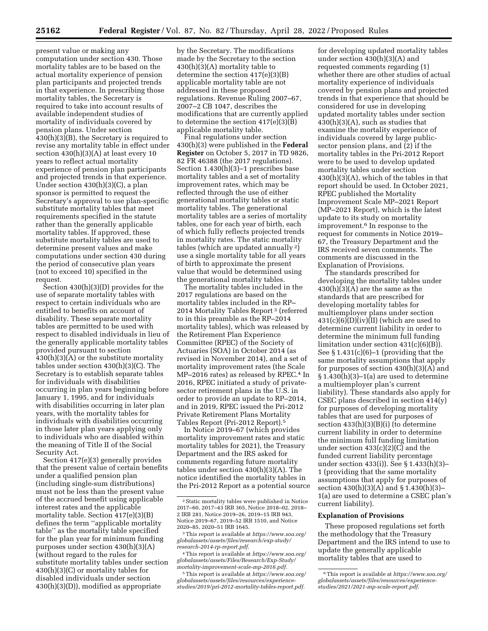present value or making any computation under section 430. Those mortality tables are to be based on the actual mortality experience of pension plan participants and projected trends in that experience. In prescribing those mortality tables, the Secretary is required to take into account results of available independent studies of mortality of individuals covered by pension plans. Under section 430(h)(3)(B), the Secretary is required to revise any mortality table in effect under section 430(h)(3)(A) at least every 10 years to reflect actual mortality experience of pension plan participants and projected trends in that experience. Under section 430(h)(3)(C), a plan sponsor is permitted to request the Secretary's approval to use plan-specific substitute mortality tables that meet requirements specified in the statute rather than the generally applicable mortality tables. If approved, these substitute mortality tables are used to determine present values and make computations under section 430 during the period of consecutive plan years (not to exceed 10) specified in the request.

Section 430(h)(3)(D) provides for the use of separate mortality tables with respect to certain individuals who are entitled to benefits on account of disability. These separate mortality tables are permitted to be used with respect to disabled individuals in lieu of the generally applicable mortality tables provided pursuant to section  $430(h)(3)(A)$  or the substitute mortality tables under section 430(h)(3)(C). The Secretary is to establish separate tables for individuals with disabilities occurring in plan years beginning before January 1, 1995, and for individuals with disabilities occurring in later plan years, with the mortality tables for individuals with disabilities occurring in those later plan years applying only to individuals who are disabled within the meaning of Title II of the Social Security Act.

Section 417(e)(3) generally provides that the present value of certain benefits under a qualified pension plan (including single-sum distributions) must not be less than the present value of the accrued benefit using applicable interest rates and the applicable mortality table. Section 417(e)(3)(B) defines the term ''applicable mortality table'' as the mortality table specified for the plan year for minimum funding purposes under section 430(h)(3)(A) (without regard to the rules for substitute mortality tables under section 430(h)(3)(C) or mortality tables for disabled individuals under section 430(h)(3)(D)), modified as appropriate

by the Secretary. The modifications made by the Secretary to the section 430(h)(3)(A) mortality table to determine the section 417(e)(3)(B) applicable mortality table are not addressed in these proposed regulations. Revenue Ruling 2007–67, 2007–2 CB 1047, describes the modifications that are currently applied to determine the section 417(e)(3)(B) applicable mortality table.

Final regulations under section 430(h)(3) were published in the **Federal Register** on October 5, 2017 in TD 9826, 82 FR 46388 (the 2017 regulations). Section 1.430(h)(3)–1 prescribes base mortality tables and a set of mortality improvement rates, which may be reflected through the use of either generational mortality tables or static mortality tables. The generational mortality tables are a series of mortality tables, one for each year of birth, each of which fully reflects projected trends in mortality rates. The static mortality tables (which are updated annually 2) use a single mortality table for all years of birth to approximate the present value that would be determined using the generational mortality tables.

The mortality tables included in the 2017 regulations are based on the mortality tables included in the RP– 2014 Mortality Tables Report 3 (referred to in this preamble as the RP–2014 mortality tables), which was released by the Retirement Plan Experience Committee (RPEC) of the Society of Actuaries (SOA) in October 2014 (as revised in November 2014), and a set of mortality improvement rates (the Scale MP–2016 rates) as released by RPEC.<sup>4</sup> In 2016, RPEC initiated a study of privatesector retirement plans in the U.S. in order to provide an update to RP–2014, and in 2019, RPEC issued the Pri-2012 Private Retirement Plans Mortality Tables Report (Pri-2012 Report).5

In Notice 2019–67 (which provides mortality improvement rates and static mortality tables for 2021), the Treasury Department and the IRS asked for comments regarding future mortality tables under section 430(h)(3)(A). The notice identified the mortality tables in the Pri-2012 Report as a potential source

for developing updated mortality tables under section 430(h)(3)(A) and requested comments regarding (1) whether there are other studies of actual mortality experience of individuals covered by pension plans and projected trends in that experience that should be considered for use in developing updated mortality tables under section 430(h)(3)(A), such as studies that examine the mortality experience of individuals covered by large publicsector pension plans, and (2) if the mortality tables in the Pri-2012 Report were to be used to develop updated mortality tables under section 430(h)(3)(A), which of the tables in that report should be used. In October 2021, RPEC published the Mortality Improvement Scale MP–2021 Report (MP–2021 Report), which is the latest update to its study on mortality improvement.6 In response to the request for comments in Notice 2019– 67, the Treasury Department and the IRS received seven comments. The comments are discussed in the Explanation of Provisions.

The standards prescribed for developing the mortality tables under 430(h)(3)(A) are the same as the standards that are prescribed for developing mortality tables for multiemployer plans under section  $431(c)(6)(D)(iv)(II)$  (which are used to determine current liability in order to determine the minimum full funding limitation under section 431(c)(6)(B)). See § 1.431(c)(6)–1 (providing that the same mortality assumptions that apply for purposes of section  $430(h)(3)(A)$  and  $§ 1.430(h)(3)-1(a)$  are used to determine a multiemployer plan's current liability). These standards also apply for CSEC plans described in section 414(y) for purposes of developing mortality tables that are used for purposes of section 433(h)(3)(B)(i) (to determine current liability in order to determine the minimum full funding limitation under section 433(c)(2)(C) and the funded current liability percentage under section 433(i)). See § 1.433(h)(3)– 1 (providing that the same mortality assumptions that apply for purposes of section 430(h)(3)(A) and § 1.430(h)(3)– 1(a) are used to determine a CSEC plan's current liability).

#### **Explanation of Provisions**

These proposed regulations set forth the methodology that the Treasury Department and the IRS intend to use to update the generally applicable mortality tables that are used to

<sup>2</sup>Static mortality tables were published in Notice 2017–60, 2017–43 IRB 365, Notice 2018–02, 2018– 2 IRB 281, Notice 2019–26, 2019–15 IRB 943, Notice 2019–67, 2019–52 IRB 1510, and Notice 2020–85, 2020–51 IRB 1645.

<sup>3</sup>This report is available at *[https://www.soa.org/](https://www.soa.org/globalassets/assets/files/research/exp-study/research-2014-rp-report.pdf)  [globalassets/assets/files/research/exp-study/](https://www.soa.org/globalassets/assets/files/research/exp-study/research-2014-rp-report.pdf) [research-2014-rp-report.pdf.](https://www.soa.org/globalassets/assets/files/research/exp-study/research-2014-rp-report.pdf)* 

<sup>4</sup>This report is available at *[https://www.soa.org/](https://www.soa.org/globalassets/assets/Files/Research/Exp-Study/mortality-improvement-scale-mp-2016.pdf)  [globalassets/assets/Files/Research/Exp-Study/](https://www.soa.org/globalassets/assets/Files/Research/Exp-Study/mortality-improvement-scale-mp-2016.pdf) [mortality-improvement-scale-mp-2016.pdf.](https://www.soa.org/globalassets/assets/Files/Research/Exp-Study/mortality-improvement-scale-mp-2016.pdf)* 

<sup>5</sup>This report is available at *[https://www.soa.org/](https://www.soa.org/globalassets/assets/files/resources/experience-studies/2019/pri-2012-mortality-tables-report.pdf)  [globalassets/assets/files/resources/experience](https://www.soa.org/globalassets/assets/files/resources/experience-studies/2019/pri-2012-mortality-tables-report.pdf)[studies/2019/pri-2012-mortality-tables-report.pdf.](https://www.soa.org/globalassets/assets/files/resources/experience-studies/2019/pri-2012-mortality-tables-report.pdf)* 

<sup>6</sup>This report is available at *[https://www.soa.org/](https://www.soa.org/globalassets/assets/files/resources/experience-studies/2021/2021-mp-scale-report.pdf)  [globalassets/assets/files/resources/experience](https://www.soa.org/globalassets/assets/files/resources/experience-studies/2021/2021-mp-scale-report.pdf)[studies/2021/2021-mp-scale-report.pdf.](https://www.soa.org/globalassets/assets/files/resources/experience-studies/2021/2021-mp-scale-report.pdf)*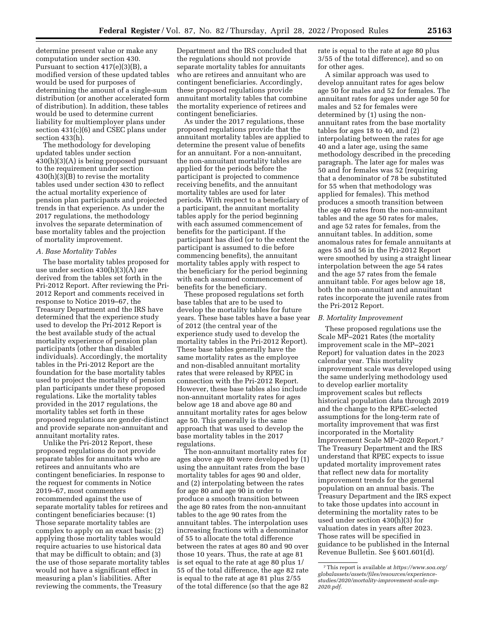determine present value or make any computation under section 430. Pursuant to section 417(e)(3)(B), a modified version of these updated tables would be used for purposes of determining the amount of a single-sum distribution (or another accelerated form of distribution). In addition, these tables would be used to determine current liability for multiemployer plans under section 431(c)(6) and CSEC plans under section 433(h).

The methodology for developing updated tables under section 430(h)(3)(A) is being proposed pursuant to the requirement under section 430(h)(3)(B) to revise the mortality tables used under section 430 to reflect the actual mortality experience of pension plan participants and projected trends in that experience. As under the 2017 regulations, the methodology involves the separate determination of base mortality tables and the projection of mortality improvement.

#### *A. Base Mortality Tables*

The base mortality tables proposed for use under section 430(h)(3)(A) are derived from the tables set forth in the Pri-2012 Report. After reviewing the Pri-2012 Report and comments received in response to Notice 2019–67, the Treasury Department and the IRS have determined that the experience study used to develop the Pri-2012 Report is the best available study of the actual mortality experience of pension plan participants (other than disabled individuals). Accordingly, the mortality tables in the Pri-2012 Report are the foundation for the base mortality tables used to project the mortality of pension plan participants under these proposed regulations. Like the mortality tables provided in the 2017 regulations, the mortality tables set forth in these proposed regulations are gender-distinct and provide separate non-annuitant and annuitant mortality rates.

Unlike the Pri-2012 Report, these proposed regulations do not provide separate tables for annuitants who are retirees and annuitants who are contingent beneficiaries. In response to the request for comments in Notice 2019–67, most commenters recommended against the use of separate mortality tables for retirees and contingent beneficiaries because: (1) Those separate mortality tables are complex to apply on an exact basis; (2) applying those mortality tables would require actuaries to use historical data that may be difficult to obtain; and (3) the use of those separate mortality tables would not have a significant effect in measuring a plan's liabilities. After reviewing the comments, the Treasury

Department and the IRS concluded that the regulations should not provide separate mortality tables for annuitants who are retirees and annuitant who are contingent beneficiaries. Accordingly, these proposed regulations provide annuitant mortality tables that combine the mortality experience of retirees and contingent beneficiaries.

As under the 2017 regulations, these proposed regulations provide that the annuitant mortality tables are applied to determine the present value of benefits for an annuitant. For a non-annuitant, the non-annuitant mortality tables are applied for the periods before the participant is projected to commence receiving benefits, and the annuitant mortality tables are used for later periods. With respect to a beneficiary of a participant, the annuitant mortality tables apply for the period beginning with each assumed commencement of benefits for the participant. If the participant has died (or to the extent the participant is assumed to die before commencing benefits), the annuitant mortality tables apply with respect to the beneficiary for the period beginning with each assumed commencement of benefits for the beneficiary.

These proposed regulations set forth base tables that are to be used to develop the mortality tables for future years. These base tables have a base year of 2012 (the central year of the experience study used to develop the mortality tables in the Pri-2012 Report). These base tables generally have the same mortality rates as the employee and non-disabled annuitant mortality rates that were released by RPEC in connection with the Pri-2012 Report. However, these base tables also include non-annuitant mortality rates for ages below age 18 and above age 80 and annuitant mortality rates for ages below age 50. This generally is the same approach that was used to develop the base mortality tables in the 2017 regulations.

The non-annuitant mortality rates for ages above age 80 were developed by (1) using the annuitant rates from the base mortality tables for ages 90 and older, and (2) interpolating between the rates for age 80 and age 90 in order to produce a smooth transition between the age 80 rates from the non-annuitant tables to the age 90 rates from the annuitant tables. The interpolation uses increasing fractions with a denominator of 55 to allocate the total difference between the rates at ages 80 and 90 over those 10 years. Thus, the rate at age 81 is set equal to the rate at age 80 plus 1/ 55 of the total difference, the age 82 rate is equal to the rate at age 81 plus 2/55 of the total difference (so that the age 82

rate is equal to the rate at age 80 plus 3/55 of the total difference), and so on for other ages.

A similar approach was used to develop annuitant rates for ages below age 50 for males and 52 for females. The annuitant rates for ages under age 50 for males and 52 for females were determined by (1) using the nonannuitant rates from the base mortality tables for ages 18 to 40, and (2) interpolating between the rates for age 40 and a later age, using the same methodology described in the preceding paragraph. The later age for males was 50 and for females was 52 (requiring that a denominator of 78 be substituted for 55 when that methodology was applied for females). This method produces a smooth transition between the age 40 rates from the non-annuitant tables and the age 50 rates for males, and age 52 rates for females, from the annuitant tables. In addition, some anomalous rates for female annuitants at ages 55 and 56 in the Pri-2012 Report were smoothed by using a straight linear interpolation between the age 54 rates and the age 57 rates from the female annuitant table. For ages below age 18, both the non-annuitant and annuitant rates incorporate the juvenile rates from the Pri-2012 Report.

## *B. Mortality Improvement*

These proposed regulations use the Scale MP–2021 Rates (the mortality improvement scale in the MP–2021 Report) for valuation dates in the 2023 calendar year. This mortality improvement scale was developed using the same underlying methodology used to develop earlier mortality improvement scales but reflects historical population data through 2019 and the change to the RPEC-selected assumptions for the long-term rate of mortality improvement that was first incorporated in the Mortality Improvement Scale MP–2020 Report.7 The Treasury Department and the IRS understand that RPEC expects to issue updated mortality improvement rates that reflect new data for mortality improvement trends for the general population on an annual basis. The Treasury Department and the IRS expect to take those updates into account in determining the mortality rates to be used under section 430(h)(3) for valuation dates in years after 2023. Those rates will be specified in guidance to be published in the Internal Revenue Bulletin. See § 601.601(d).

<sup>7</sup>This report is available at *[https://www.soa.org/](https://www.soa.org/globalassets/assets/files/resources/experience-studies/2020/mortality-improvement-scale-mp-2020.pdf)  [globalassets/assets/files/resources/experience](https://www.soa.org/globalassets/assets/files/resources/experience-studies/2020/mortality-improvement-scale-mp-2020.pdf)[studies/2020/mortality-improvement-scale-mp-](https://www.soa.org/globalassets/assets/files/resources/experience-studies/2020/mortality-improvement-scale-mp-2020.pdf)[2020.pdf.](https://www.soa.org/globalassets/assets/files/resources/experience-studies/2020/mortality-improvement-scale-mp-2020.pdf)*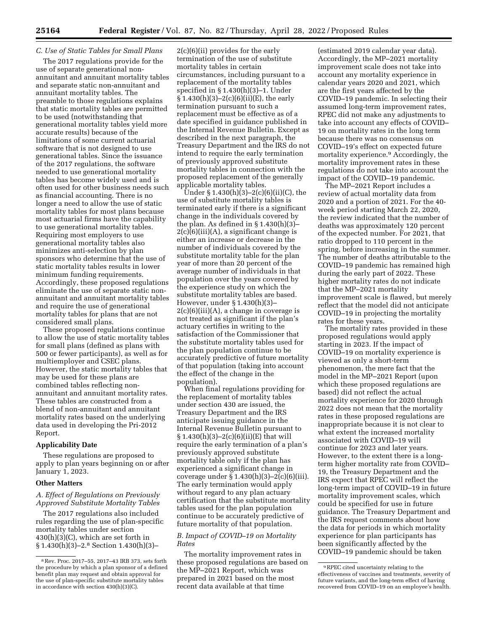## *C. Use of Static Tables for Small Plans*

The 2017 regulations provide for the use of separate generational nonannuitant and annuitant mortality tables and separate static non-annuitant and annuitant mortality tables. The preamble to those regulations explains that static mortality tables are permitted to be used (notwithstanding that generational mortality tables yield more accurate results) because of the limitations of some current actuarial software that is not designed to use generational tables. Since the issuance of the 2017 regulations, the software needed to use generational mortality tables has become widely used and is often used for other business needs such as financial accounting. There is no longer a need to allow the use of static mortality tables for most plans because most actuarial firms have the capability to use generational mortality tables. Requiring most employers to use generational mortality tables also minimizes anti-selection by plan sponsors who determine that the use of static mortality tables results in lower minimum funding requirements. Accordingly, these proposed regulations eliminate the use of separate static nonannuitant and annuitant mortality tables and require the use of generational mortality tables for plans that are not considered small plans.

These proposed regulations continue to allow the use of static mortality tables for small plans (defined as plans with 500 or fewer participants), as well as for multiemployer and CSEC plans. However, the static mortality tables that may be used for these plans are combined tables reflecting nonannuitant and annuitant mortality rates. These tables are constructed from a blend of non-annuitant and annuitant mortality rates based on the underlying data used in developing the Pri-2012 Report.

## **Applicability Date**

These regulations are proposed to apply to plan years beginning on or after January 1, 2023.

#### **Other Matters**

*A. Effect of Regulations on Previously Approved Substitute Mortality Tables* 

The 2017 regulations also included rules regarding the use of plan-specific mortality tables under section 430(h)(3)(C), which are set forth in § 1.430(h)(3)–2.8 Section 1.430(h)(3)–

2(c)(6)(ii) provides for the early termination of the use of substitute mortality tables in certain circumstances, including pursuant to a replacement of the mortality tables specified in § 1.430(h)(3)–1. Under  $\S 1.430(h)(3)-2(c)(6)(ii)(E)$ , the early termination pursuant to such a replacement must be effective as of a date specified in guidance published in the Internal Revenue Bulletin. Except as described in the next paragraph, the Treasury Department and the IRS do not intend to require the early termination of previously approved substitute mortality tables in connection with the proposed replacement of the generally applicable mortality tables.

Under § 1.430(h)(3)–2(c)(6)(ii)(C), the use of substitute mortality tables is terminated early if there is a significant change in the individuals covered by the plan. As defined in § 1.430(h)(3)–  $2(c)(6)(iii)(A)$ , a significant change is either an increase or decrease in the number of individuals covered by the substitute mortality table for the plan year of more than 20 percent of the average number of individuals in that population over the years covered by the experience study on which the substitute mortality tables are based. However, under § 1.430(h)(3)–  $2(c)(6)(iii)(A)$ , a change in coverage is not treated as significant if the plan's actuary certifies in writing to the satisfaction of the Commissioner that the substitute mortality tables used for the plan population continue to be accurately predictive of future mortality of that population (taking into account the effect of the change in the population).

When final regulations providing for the replacement of mortality tables under section 430 are issued, the Treasury Department and the IRS anticipate issuing guidance in the Internal Revenue Bulletin pursuant to  $§ 1.430(h)(3)-2(c)(6)(ii)(E)$  that will require the early termination of a plan's previously approved substitute mortality table only if the plan has experienced a significant change in coverage under  $\S 1.430(h)(3)-2(c)(6)(iii)$ . The early termination would apply without regard to any plan actuary certification that the substitute mortality tables used for the plan population continue to be accurately predictive of future mortality of that population.

## *B. Impact of COVID–19 on Mortality Rates*

The mortality improvement rates in these proposed regulations are based on the MP–2021 Report, which was prepared in 2021 based on the most recent data available at that time

(estimated 2019 calendar year data). Accordingly, the MP–2021 mortality improvement scale does not take into account any mortality experience in calendar years 2020 and 2021, which are the first years affected by the COVID–19 pandemic. In selecting their assumed long-term improvement rates, RPEC did not make any adjustments to take into account any effects of COVID– 19 on mortality rates in the long term because there was no consensus on COVID–19's effect on expected future mortality experience.9 Accordingly, the mortality improvement rates in these regulations do not take into account the impact of the COVID–19 pandemic.

The MP–2021 Report includes a review of actual mortality data from 2020 and a portion of 2021. For the 40 week period starting March 22, 2020, the review indicated that the number of deaths was approximately 120 percent of the expected number. For 2021, that ratio dropped to 110 percent in the spring, before increasing in the summer. The number of deaths attributable to the COVID–19 pandemic has remained high during the early part of 2022. These higher mortality rates do not indicate that the MP–2021 mortality improvement scale is flawed, but merely reflect that the model did not anticipate COVID–19 in projecting the mortality rates for these years.

The mortality rates provided in these proposed regulations would apply starting in 2023. If the impact of COVID–19 on mortality experience is viewed as only a short-term phenomenon, the mere fact that the model in the MP–2021 Report (upon which these proposed regulations are based) did not reflect the actual mortality experience for 2020 through 2022 does not mean that the mortality rates in these proposed regulations are inappropriate because it is not clear to what extent the increased mortality associated with COVID–19 will continue for 2023 and later years. However, to the extent there is a longterm higher mortality rate from COVID– 19, the Treasury Department and the IRS expect that RPEC will reflect the long-term impact of COVID–19 in future mortality improvement scales, which could be specified for use in future guidance. The Treasury Department and the IRS request comments about how the data for periods in which mortality experience for plan participants has been significantly affected by the COVID–19 pandemic should be taken

<sup>8</sup>Rev. Proc. 2017–55, 2017–43 IRB 373, sets forth the procedure by which a plan sponsor of a defined benefit plan may request and obtain approval for the use of plan-specific substitute mortality tables in accordance with section 430(h)(3)(C).

<sup>9</sup>RPEC cited uncertainty relating to the effectiveness of vaccines and treatments, severity of future variants, and the long-term effect of having recovered from COVID–19 on an employee's health.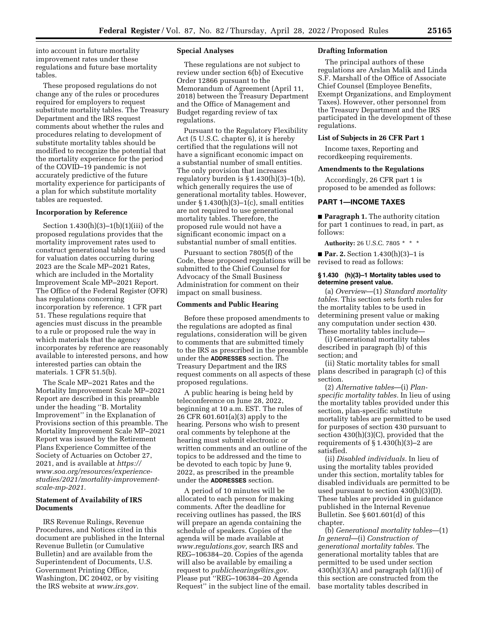into account in future mortality improvement rates under these regulations and future base mortality tables.

These proposed regulations do not change any of the rules or procedures required for employers to request substitute mortality tables. The Treasury Department and the IRS request comments about whether the rules and procedures relating to development of substitute mortality tables should be modified to recognize the potential that the mortality experience for the period of the COVID–19 pandemic is not accurately predictive of the future mortality experience for participants of a plan for which substitute mortality tables are requested.

## **Incorporation by Reference**

Section  $1.430(h)(3)-1(h)(1)(iii)$  of the proposed regulations provides that the mortality improvement rates used to construct generational tables to be used for valuation dates occurring during 2023 are the Scale MP–2021 Rates, which are included in the Mortality Improvement Scale MP–2021 Report. The Office of the Federal Register (OFR) has regulations concerning incorporation by reference. 1 CFR part 51. These regulations require that agencies must discuss in the preamble to a rule or proposed rule the way in which materials that the agency incorporates by reference are reasonably available to interested persons, and how interested parties can obtain the materials. 1 CFR 51.5(b).

The Scale MP–2021 Rates and the Mortality Improvement Scale MP–2021 Report are described in this preamble under the heading ''B. Mortality Improvement'' in the Explanation of Provisions section of this preamble. The Mortality Improvement Scale MP–2021 Report was issued by the Retirement Plans Experience Committee of the Society of Actuaries on October 27, 2021, and is available at *[https://](https://www.soa.org/resources/experience-studies/2021/mortality-improvement-scale-mp-2021)  www.soa.org/resources/experience[studies/2021/mortality-improvement](https://www.soa.org/resources/experience-studies/2021/mortality-improvement-scale-mp-2021)[scale-mp-2021.](https://www.soa.org/resources/experience-studies/2021/mortality-improvement-scale-mp-2021)* 

## **Statement of Availability of IRS Documents**

IRS Revenue Rulings, Revenue Procedures, and Notices cited in this document are published in the Internal Revenue Bulletin (or Cumulative Bulletin) and are available from the Superintendent of Documents, U.S. Government Printing Office, Washington, DC 20402, or by visiting the IRS website at *[www.irs.gov.](http://www.irs.gov)* 

## **Special Analyses**

These regulations are not subject to review under section 6(b) of Executive Order 12866 pursuant to the Memorandum of Agreement (April 11, 2018) between the Treasury Department and the Office of Management and Budget regarding review of tax regulations.

Pursuant to the Regulatory Flexibility Act (5 U.S.C. chapter 6), it is hereby certified that the regulations will not have a significant economic impact on a substantial number of small entities. The only provision that increases regulatory burden is  $\S 1.430(h)(3)-1(h)$ , which generally requires the use of generational mortality tables. However, under  $\S 1.430(h)(3)-1(c)$ , small entities are not required to use generational mortality tables. Therefore, the proposed rule would not have a significant economic impact on a substantial number of small entities.

Pursuant to section 7805(f) of the Code, these proposed regulations will be submitted to the Chief Counsel for Advocacy of the Small Business Administration for comment on their impact on small business.

#### **Comments and Public Hearing**

Before these proposed amendments to the regulations are adopted as final regulations, consideration will be given to comments that are submitted timely to the IRS as prescribed in the preamble under the **ADDRESSES** section. The Treasury Department and the IRS request comments on all aspects of these proposed regulations.

A public hearing is being held by teleconference on June 28, 2022, beginning at 10 a.m. EST. The rules of 26 CFR 601.601(a)(3) apply to the hearing. Persons who wish to present oral comments by telephone at the hearing must submit electronic or written comments and an outline of the topics to be addressed and the time to be devoted to each topic by June 9, 2022, as prescribed in the preamble under the **ADDRESSES** section.

A period of 10 minutes will be allocated to each person for making comments. After the deadline for receiving outlines has passed, the IRS will prepare an agenda containing the schedule of speakers. Copies of the agenda will be made available at *[www.regulations.gov,](http://www.regulations.gov)* search IRS and REG–106384–20. Copies of the agenda will also be available by emailing a request to *[publichearings@irs.gov.](mailto:publichearings@irs.gov)*  Please put ''REG–106384–20 Agenda Request'' in the subject line of the email.

#### **Drafting Information**

The principal authors of these regulations are Arslan Malik and Linda S.F. Marshall of the Office of Associate Chief Counsel (Employee Benefits, Exempt Organizations, and Employment Taxes). However, other personnel from the Treasury Department and the IRS participated in the development of these regulations.

#### **List of Subjects in 26 CFR Part 1**

Income taxes, Reporting and recordkeeping requirements.

## **Amendments to the Regulations**

Accordingly, 26 CFR part 1 is proposed to be amended as follows:

## **PART 1—INCOME TAXES**

■ **Paragraph 1.** The authority citation for part 1 continues to read, in part, as follows:

**Authority:** 26 U.S.C. 7805 \* \* \*

■ **Par. 2.** Section 1.430(h)(3)–1 is revised to read as follows:

#### **§ 1.430 (h)(3)–1 Mortality tables used to determine present value.**

(a) *Overview*—(1) *Standard mortality tables.* This section sets forth rules for the mortality tables to be used in determining present value or making any computation under section 430. These mortality tables include—

(i) Generational mortality tables described in paragraph (b) of this section; and

(ii) Static mortality tables for small plans described in paragraph (c) of this section.

(2) *Alternative tables*—(i) *Planspecific mortality tables.* In lieu of using the mortality tables provided under this section, plan-specific substitute mortality tables are permitted to be used for purposes of section 430 pursuant to section 430(h)(3)(C), provided that the requirements of  $\S 1.430(h)(3)-2$  are satisfied.

(ii) *Disabled individuals.* In lieu of using the mortality tables provided under this section, mortality tables for disabled individuals are permitted to be used pursuant to section 430(h)(3)(D). These tables are provided in guidance published in the Internal Revenue Bulletin. See § 601.601(d) of this chapter.

(b) *Generational mortality tables*—(1) *In general*—(i) *Construction of generational mortality tables.* The generational mortality tables that are permitted to be used under section  $430(h)(3)(A)$  and paragraph  $(a)(1)(i)$  of this section are constructed from the base mortality tables described in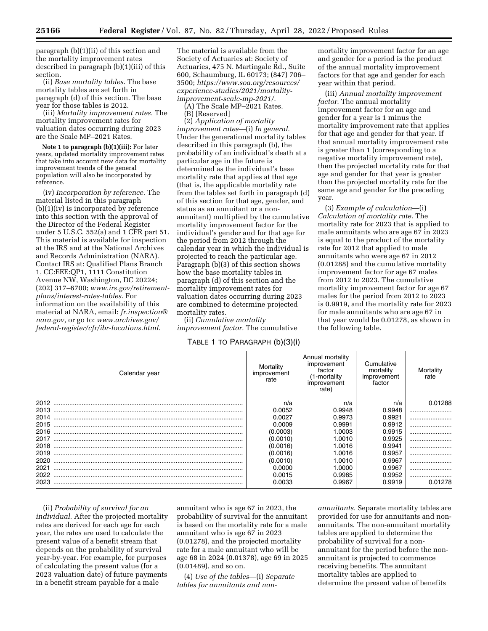paragraph (b)(1)(ii) of this section and the mortality improvement rates described in paragraph (b)(1)(iii) of this section.

(ii) *Base mortality tables.* The base mortality tables are set forth in paragraph (d) of this section. The base year for those tables is 2012.

(iii) *Mortality improvement rates.* The mortality improvement rates for valuation dates occurring during 2023 are the Scale MP–2021 Rates.

**Note 1 to paragraph (b)(1)(iii):** For later years, updated mortality improvement rates that take into account new data for mortality improvement trends of the general population will also be incorporated by reference.

(iv) *Incorporation by reference.* The material listed in this paragraph (b)(1)(iv) is incorporated by reference into this section with the approval of the Director of the Federal Register under 5 U.S.C. 552(a) and 1 CFR part 51. This material is available for inspection at the IRS and at the National Archives and Records Administration (NARA). Contact IRS at: Qualified Plans Branch 1, CC:EEE:QP1, 1111 Constitution Avenue NW, Washington, DC 20224; (202) 317–6700; *[www.irs.gov/retirement](http://www.irs.gov/retirement-plans/interest-rates-tables)[plans/interest-rates-tables.](http://www.irs.gov/retirement-plans/interest-rates-tables)* For information on the availability of this material at NARA, email: *[fr.inspection@](mailto:fr.inspection@nara.gov) [nara.gov,](mailto:fr.inspection@nara.gov)* or go to: *[www.archives.gov/](http://www.archives.gov/federal-register/cfr/ibr-locations.html) [federal-register/cfr/ibr-locations.html.](http://www.archives.gov/federal-register/cfr/ibr-locations.html)* 

The material is available from the Society of Actuaries at: Society of Actuaries, 475 N. Martingale Rd., Suite 600, Schaumburg, IL 60173; (847) 706– 3500; *[https://www.soa.org/resources/](https://www.soa.org/resources/experience-studies/2021/mortality-improvement-scale-mp-2021/)  [experience-studies/2021/mortality](https://www.soa.org/resources/experience-studies/2021/mortality-improvement-scale-mp-2021/)[improvement-scale-mp-2021/.](https://www.soa.org/resources/experience-studies/2021/mortality-improvement-scale-mp-2021/)* 

(A) The Scale MP–2021 Rates.

(B) [Reserved]

(2) *Application of mortality improvement rates*—(i) *In general.*  Under the generational mortality tables described in this paragraph (b), the probability of an individual's death at a particular age in the future is determined as the individual's base mortality rate that applies at that age (that is, the applicable mortality rate from the tables set forth in paragraph (d) of this section for that age, gender, and status as an annuitant or a nonannuitant) multiplied by the cumulative mortality improvement factor for the individual's gender and for that age for the period from 2012 through the calendar year in which the individual is projected to reach the particular age. Paragraph (b)(3) of this section shows how the base mortality tables in paragraph (d) of this section and the mortality improvement rates for valuation dates occurring during 2023 are combined to determine projected mortality rates.

(ii) *Cumulative mortality improvement factor.* The cumulative

## TABLE 1 TO PARAGRAPH (b)(3)(i)

mortality improvement factor for an age and gender for a period is the product of the annual mortality improvement factors for that age and gender for each year within that period.

(iii) *Annual mortality improvement factor.* The annual mortality improvement factor for an age and gender for a year is 1 minus the mortality improvement rate that applies for that age and gender for that year. If that annual mortality improvement rate is greater than 1 (corresponding to a negative mortality improvement rate), then the projected mortality rate for that age and gender for that year is greater than the projected mortality rate for the same age and gender for the preceding year.

(3) *Example of calculation*—(i) *Calculation of mortality rate.* The mortality rate for 2023 that is applied to male annuitants who are age 67 in 2023 is equal to the product of the mortality rate for 2012 that applied to male annuitants who were age 67 in 2012 (0.01288) and the cumulative mortality improvement factor for age 67 males from 2012 to 2023. The cumulative mortality improvement factor for age 67 males for the period from 2012 to 2023 is 0.9919, and the mortality rate for 2023 for male annuitants who are age 67 in that year would be 0.01278, as shown in the following table.

| Calendar year | Mortalitv<br>improvement<br>rate | Annual mortality<br>improvement<br>factor<br>(1-mortality<br>improvement<br>rate) | Cumulative<br>mortality<br>improvement<br>factor | Mortality<br>rate |
|---------------|----------------------------------|-----------------------------------------------------------------------------------|--------------------------------------------------|-------------------|
| 2012          | n/a                              | n/a                                                                               | n/a                                              | 0.01288           |
| 2013          | 0.0052                           | 0.9948                                                                            | 0.9948                                           |                   |
| 2014          | 0.0027                           | 0.9973                                                                            | 0.9921                                           |                   |
| 2015          | 0.0009                           | 0.9991                                                                            | 0.9912                                           |                   |
| 2016          | (0.0003)                         | 1.0003                                                                            | 0.9915                                           |                   |
| 2017          | (0.0010)                         | 1.0010                                                                            | 0.9925                                           |                   |
| 2018          | (0.0016)                         | 1.0016                                                                            | 0.9941                                           |                   |
| 2019          | (0.0016)                         | 1.0016                                                                            | 0.9957                                           |                   |
| 2020          | (0.0010)                         | 1.0010                                                                            | 0.9967                                           |                   |
| 2021          | 0.0000                           | 1.0000                                                                            | 0.9967                                           |                   |
| 2022          | 0.0015                           | 0.9985                                                                            | 0.9952                                           |                   |
| 2023          | 0.0033                           | 0.9967                                                                            | 0.9919                                           | 0.01278           |

(ii) *Probability of survival for an individual.* After the projected mortality rates are derived for each age for each year, the rates are used to calculate the present value of a benefit stream that depends on the probability of survival year-by-year. For example, for purposes of calculating the present value (for a 2023 valuation date) of future payments in a benefit stream payable for a male

annuitant who is age 67 in 2023, the probability of survival for the annuitant is based on the mortality rate for a male annuitant who is age 67 in 2023 (0.01278), and the projected mortality rate for a male annuitant who will be age 68 in 2024 (0.01378), age 69 in 2025 (0.01489), and so on.

(4) *Use of the tables*—(i) *Separate tables for annuitants and non-*

*annuitants.* Separate mortality tables are provided for use for annuitants and nonannuitants. The non-annuitant mortality tables are applied to determine the probability of survival for a nonannuitant for the period before the nonannuitant is projected to commence receiving benefits. The annuitant mortality tables are applied to determine the present value of benefits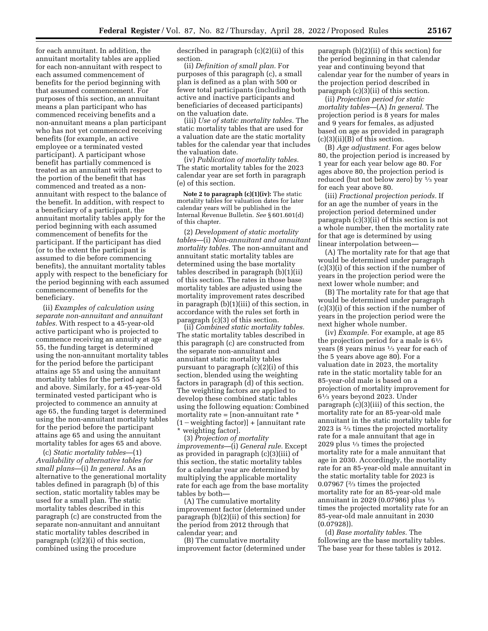for each annuitant. In addition, the annuitant mortality tables are applied for each non-annuitant with respect to each assumed commencement of benefits for the period beginning with that assumed commencement. For purposes of this section, an annuitant means a plan participant who has commenced receiving benefits and a non-annuitant means a plan participant who has not yet commenced receiving benefits (for example, an active employee or a terminated vested participant). A participant whose benefit has partially commenced is treated as an annuitant with respect to the portion of the benefit that has commenced and treated as a nonannuitant with respect to the balance of the benefit. In addition, with respect to a beneficiary of a participant, the annuitant mortality tables apply for the period beginning with each assumed commencement of benefits for the participant. If the participant has died (or to the extent the participant is assumed to die before commencing benefits), the annuitant mortality tables apply with respect to the beneficiary for the period beginning with each assumed commencement of benefits for the beneficiary.

(ii) *Examples of calculation using separate non-annuitant and annuitant tables.* With respect to a 45-year-old active participant who is projected to commence receiving an annuity at age 55, the funding target is determined using the non-annuitant mortality tables for the period before the participant attains age 55 and using the annuitant mortality tables for the period ages 55 and above. Similarly, for a 45-year-old terminated vested participant who is projected to commence an annuity at age 65, the funding target is determined using the non-annuitant mortality tables for the period before the participant attains age 65 and using the annuitant mortality tables for ages 65 and above.

(c) *Static mortality tables*—(1) *Availability of alternative tables for small plans*—(i) *In general.* As an alternative to the generational mortality tables defined in paragraph (b) of this section, static mortality tables may be used for a small plan. The static mortality tables described in this paragraph (c) are constructed from the separate non-annuitant and annuitant static mortality tables described in paragraph (c)(2)(i) of this section, combined using the procedure

described in paragraph (c)(2)(ii) of this section.

(ii) *Definition of small plan.* For purposes of this paragraph (c), a small plan is defined as a plan with 500 or fewer total participants (including both active and inactive participants and beneficiaries of deceased participants) on the valuation date.

(iii) *Use of static mortality tables.* The static mortality tables that are used for a valuation date are the static mortality tables for the calendar year that includes the valuation date.

(iv) *Publication of mortality tables.*  The static mortality tables for the 2023 calendar year are set forth in paragraph (e) of this section.

**Note 2 to paragraph (c)(1)(iv):** The static mortality tables for valuation dates for later calendar years will be published in the Internal Revenue Bulletin. *See* § 601.601(d) of this chapter.

(2) *Development of static mortality tables*—(i) *Non-annuitant and annuitant mortality tables.* The non-annuitant and annuitant static mortality tables are determined using the base mortality tables described in paragraph (b)(1)(ii) of this section. The rates in those base mortality tables are adjusted using the mortality improvement rates described in paragraph (b)(1)(iii) of this section, in accordance with the rules set forth in paragraph (c)(3) of this section.

(ii) *Combined static mortality tables.*  The static mortality tables described in this paragraph (c) are constructed from the separate non-annuitant and annuitant static mortality tables pursuant to paragraph (c)(2)(i) of this section, blended using the weighting factors in paragraph (d) of this section. The weighting factors are applied to develop these combined static tables using the following equation: Combined mortality rate = [non-annuitant rate \*  $(1 - weighting factor)] + [annuitant rate]$ \* weighting factor].

(3) *Projection of mortality improvements*—(i) *General rule.* Except as provided in paragraph (c)(3)(iii) of this section, the static mortality tables for a calendar year are determined by multiplying the applicable mortality rate for each age from the base mortality tables by both—

(A) The cumulative mortality improvement factor (determined under paragraph (b)(2)(ii) of this section) for the period from 2012 through that calendar year; and

(B) The cumulative mortality improvement factor (determined under

paragraph (b)(2)(ii) of this section) for the period beginning in that calendar year and continuing beyond that calendar year for the number of years in the projection period described in paragraph (c)(3)(ii) of this section.

(ii) *Projection period for static mortality tables*—(A) *In general.* The projection period is 8 years for males and 9 years for females, as adjusted based on age as provided in paragraph (c)(3)(ii)(B) of this section.

(B) *Age adjustment.* For ages below 80, the projection period is increased by 1 year for each year below age 80. For ages above 80, the projection period is reduced (but not below zero) by 1⁄3 year for each year above 80.

(iii) *Fractional projection periods.* If for an age the number of years in the projection period determined under paragraph (c)(3)(ii) of this section is not a whole number, then the mortality rate for that age is determined by using linear interpolation between—

(A) The mortality rate for that age that would be determined under paragraph (c)(3)(i) of this section if the number of years in the projection period were the next lower whole number; and

(B) The mortality rate for that age that would be determined under paragraph (c)(3)(i) of this section if the number of years in the projection period were the next higher whole number.

(iv) *Example.* For example, at age 85 the projection period for a male is  $6\frac{1}{3}$ years (8 years minus 1⁄3 year for each of the 5 years above age 80). For a valuation date in 2023, the mortality rate in the static mortality table for an 85-year-old male is based on a projection of mortality improvement for 61⁄3 years beyond 2023. Under paragraph (c)(3)(iii) of this section, the mortality rate for an 85-year-old male annuitant in the static mortality table for 2023 is 2⁄3 times the projected mortality rate for a male annuitant that age in 2029 plus 1⁄3 times the projected mortality rate for a male annuitant that age in 2030. Accordingly, the mortality rate for an 85-year-old male annuitant in the static mortality table for 2023 is 0.07967 ( $\frac{2}{3}$  times the projected mortality rate for an 85-year-old male annuitant in 2029 (0.07986) plus 1⁄3 times the projected mortality rate for an 85-year-old male annuitant in 2030 (0.07928)).

(d) *Base mortality tables.* The following are the base mortality tables. The base year for these tables is 2012.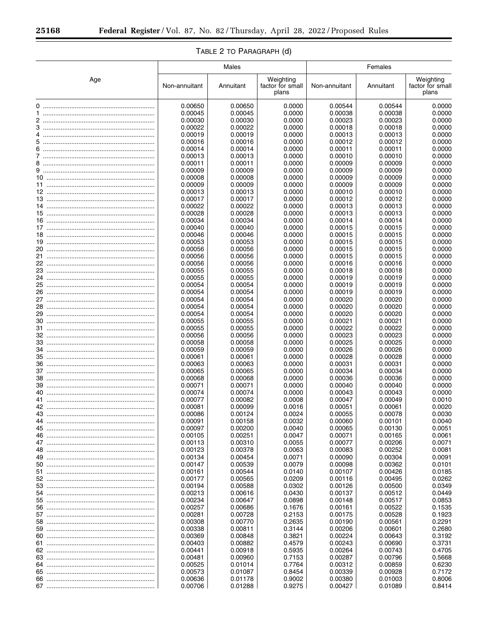|     | Males              |                    |                                        |                    | Females            |                                        |  |
|-----|--------------------|--------------------|----------------------------------------|--------------------|--------------------|----------------------------------------|--|
| Age | Non-annuitant      | Annuitant          | Weighting<br>factor for small<br>plans | Non-annuitant      | Annuitant          | Weighting<br>factor for small<br>plans |  |
|     | 0.00650            | 0.00650            | 0.0000                                 | 0.00544            | 0.00544            | 0.0000                                 |  |
|     | 0.00045            | 0.00045            | 0.0000                                 | 0.00038            | 0.00038            | 0.0000                                 |  |
|     | 0.00030            | 0.00030            | 0.0000                                 | 0.00023            | 0.00023            | 0.0000                                 |  |
|     | 0.00022            | 0.00022            | 0.0000                                 | 0.00018            | 0.00018            | 0.0000                                 |  |
|     | 0.00019            | 0.00019            | 0.0000                                 | 0.00013            | 0.00013            | 0.0000                                 |  |
|     | 0.00016<br>0.00014 | 0.00016<br>0.00014 | 0.0000<br>0.0000                       | 0.00012<br>0.00011 | 0.00012            | 0.0000<br>0.0000                       |  |
|     | 0.00013            | 0.00013            | 0.0000                                 | 0.00010            | 0.00011<br>0.00010 | 0.0000                                 |  |
|     | 0.00011            | 0.00011            | 0.0000                                 | 0.00009            | 0.00009            | 0.0000                                 |  |
|     | 0.00009            | 0.00009            | 0.0000                                 | 0.00009            | 0.00009            | 0.0000                                 |  |
|     | 0.00008            | 0.00008            | 0.0000                                 | 0.00009            | 0.00009            | 0.0000                                 |  |
|     | 0.00009            | 0.00009            | 0.0000                                 | 0.00009            | 0.00009            | 0.0000                                 |  |
|     | 0.00013            | 0.00013            | 0.0000                                 | 0.00010            | 0.00010            | 0.0000                                 |  |
|     | 0.00017            | 0.00017            | 0.0000                                 | 0.00012            | 0.00012            | 0.0000                                 |  |
|     | 0.00022            | 0.00022            | 0.0000                                 | 0.00013            | 0.00013            | 0.0000                                 |  |
|     | 0.00028            | 0.00028            | 0.0000                                 | 0.00013            | 0.00013            | 0.0000                                 |  |
|     | 0.00034            | 0.00034            | 0.0000                                 | 0.00014            | 0.00014            | 0.0000                                 |  |
|     | 0.00040            | 0.00040            | 0.0000                                 | 0.00015            | 0.00015            | 0.0000                                 |  |
|     | 0.00046<br>0.00053 | 0.00046<br>0.00053 | 0.0000<br>0.0000                       | 0.00015<br>0.00015 | 0.00015<br>0.00015 | 0.0000<br>0.0000                       |  |
|     | 0.00056            | 0.00056            | 0.0000                                 | 0.00015            | 0.00015            | 0.0000                                 |  |
|     | 0.00056            | 0.00056            | 0.0000                                 | 0.00015            | 0.00015            | 0.0000                                 |  |
|     | 0.00056            | 0.00056            | 0.0000                                 | 0.00016            | 0.00016            | 0.0000                                 |  |
|     | 0.00055            | 0.00055            | 0.0000                                 | 0.00018            | 0.00018            | 0.0000                                 |  |
|     | 0.00055            | 0.00055            | 0.0000                                 | 0.00019            | 0.00019            | 0.0000                                 |  |
|     | 0.00054            | 0.00054            | 0.0000                                 | 0.00019            | 0.00019            | 0.0000                                 |  |
|     | 0.00054            | 0.00054            | 0.0000                                 | 0.00019            | 0.00019            | 0.0000                                 |  |
|     | 0.00054            | 0.00054            | 0.0000                                 | 0.00020            | 0.00020            | 0.0000                                 |  |
|     | 0.00054            | 0.00054            | 0.0000                                 | 0.00020            | 0.00020            | 0.0000                                 |  |
|     | 0.00054            | 0.00054            | 0.0000                                 | 0.00020            | 0.00020            | 0.0000                                 |  |
|     | 0.00055            | 0.00055            | 0.0000                                 | 0.00021            | 0.00021            | 0.0000                                 |  |
|     | 0.00055<br>0.00056 | 0.00055<br>0.00056 | 0.0000<br>0.0000                       | 0.00022<br>0.00023 | 0.00022<br>0.00023 | 0.0000<br>0.0000                       |  |
|     | 0.00058            | 0.00058            | 0.0000                                 | 0.00025            | 0.00025            | 0.0000                                 |  |
| 34  | 0.00059            | 0.00059            | 0.0000                                 | 0.00026            | 0.00026            | 0.0000                                 |  |
|     | 0.00061            | 0.00061            | 0.0000                                 | 0.00028            | 0.00028            | 0.0000                                 |  |
|     | 0.00063            | 0.00063            | 0.0000                                 | 0.00031            | 0.00031            | 0.0000                                 |  |
|     | 0.00065            | 0.00065            | 0.0000                                 | 0.00034            | 0.00034            | 0.0000                                 |  |
|     | 0.00068            | 0.00068            | 0.0000                                 | 0.00036            | 0.00036            | 0.0000                                 |  |
|     | 0.00071            | 0.00071            | 0.0000                                 | 0.00040            | 0.00040            | 0.0000                                 |  |
|     | 0.00074            | 0.00074            | 0.0000                                 | 0.00043            | 0.00043            | 0.0000                                 |  |
| 41  | 0.00077            | 0.00082            | 0.0008                                 | 0.00047            | 0.00049            | 0.0010                                 |  |
|     | 0.00081<br>0.00086 | 0.00099<br>0.00124 | 0.0016<br>0.0024                       | 0.00051<br>0.00055 | 0.00061<br>0.00078 | 0.0020<br>0.0030                       |  |
| 44  | 0.00091            | 0.00158            | 0.0032                                 | 0.00060            | 0.00101            | 0.0040                                 |  |
|     | 0.00097            | 0.00200            | 0.0040                                 | 0.00065            | 0.00130            | 0.0051                                 |  |
|     | 0.00105            | 0.00251            | 0.0047                                 | 0.00071            | 0.00165            | 0.0061                                 |  |
|     | 0.00113            | 0.00310            | 0.0055                                 | 0.00077            | 0.00206            | 0.0071                                 |  |
|     | 0.00123            | 0.00378            | 0.0063                                 | 0.00083            | 0.00252            | 0.0081                                 |  |
|     | 0.00134            | 0.00454            | 0.0071                                 | 0.00090            | 0.00304            | 0.0091                                 |  |
|     | 0.00147            | 0.00539            | 0.0079                                 | 0.00098            | 0.00362            | 0.0101                                 |  |
|     | 0.00161            | 0.00544            | 0.0140                                 | 0.00107            | 0.00426            | 0.0185                                 |  |
|     | 0.00177            | 0.00565            | 0.0209                                 | 0.00116            | 0.00495            | 0.0262                                 |  |
|     | 0.00194<br>0.00213 | 0.00588            | 0.0302                                 | 0.00126            | 0.00500            | 0.0349                                 |  |
|     | 0.00234            | 0.00616<br>0.00647 | 0.0430<br>0.0898                       | 0.00137<br>0.00148 | 0.00512<br>0.00517 | 0.0449<br>0.0853                       |  |
|     | 0.00257            | 0.00686            | 0.1676                                 | 0.00161            | 0.00522            | 0.1535                                 |  |
|     | 0.00281            | 0.00728            | 0.2153                                 | 0.00175            | 0.00528            | 0.1923                                 |  |
|     | 0.00308            | 0.00770            | 0.2635                                 | 0.00190            | 0.00561            | 0.2291                                 |  |
|     | 0.00338            | 0.00811            | 0.3144                                 | 0.00206            | 0.00601            | 0.2680                                 |  |
|     | 0.00369            | 0.00848            | 0.3821                                 | 0.00224            | 0.00643            | 0.3192                                 |  |
|     | 0.00403            | 0.00882            | 0.4579                                 | 0.00243            | 0.00690            | 0.3731                                 |  |
|     | 0.00441            | 0.00918            | 0.5935                                 | 0.00264            | 0.00743            | 0.4705                                 |  |
|     | 0.00481            | 0.00960            | 0.7153                                 | 0.00287            | 0.00796            | 0.5668                                 |  |
|     | 0.00525            | 0.01014            | 0.7764                                 | 0.00312            | 0.00859            | 0.6230                                 |  |
|     | 0.00573            | 0.01087            | 0.8454                                 | 0.00339            | 0.00928            | 0.7172                                 |  |
|     | 0.00636            | 0.01178            | 0.9002                                 | 0.00380            | 0.01003            | 0.8006                                 |  |
|     | 0.00706            | 0.01288            | 0.9275                                 | 0.00427            | 0.01089            | 0.8414                                 |  |

# TABLE 2 TO PARAGRAPH (d)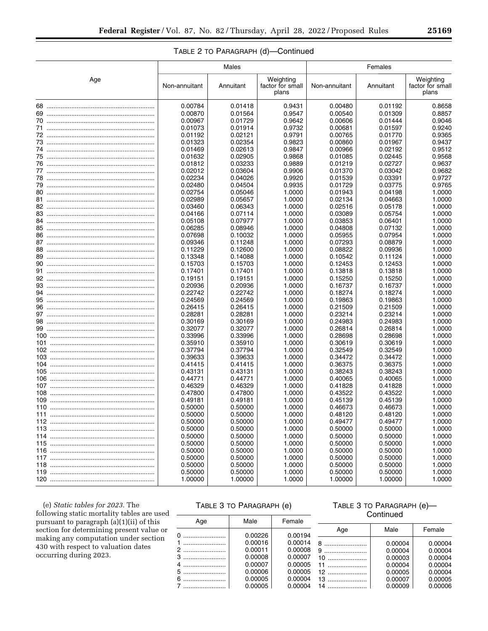|     |               | Males     |                                        | Females       |           |                                        |  |
|-----|---------------|-----------|----------------------------------------|---------------|-----------|----------------------------------------|--|
| Age | Non-annuitant | Annuitant | Weighting<br>factor for small<br>plans | Non-annuitant | Annuitant | Weighting<br>factor for small<br>plans |  |
|     | 0.00784       | 0.01418   | 0.9431                                 | 0.00480       | 0.01192   | 0.8658                                 |  |
|     | 0.00870       | 0.01564   | 0.9547                                 | 0.00540       | 0.01309   | 0.8857                                 |  |
|     | 0.00967       | 0.01729   | 0.9642                                 | 0.00606       | 0.01444   | 0.9046                                 |  |
|     | 0.01073       | 0.01914   | 0.9732                                 | 0.00681       | 0.01597   | 0.9240                                 |  |
|     | 0.01192       | 0.02121   | 0.9791                                 | 0.00765       | 0.01770   | 0.9365                                 |  |
|     | 0.01323       | 0.02354   | 0.9823                                 | 0.00860       | 0.01967   | 0.9437                                 |  |
|     | 0.01469       | 0.02613   | 0.9847                                 | 0.00966       | 0.02192   | 0.9512                                 |  |
|     | 0.01632       | 0.02905   | 0.9868                                 | 0.01085       | 0.02445   | 0.9568                                 |  |
|     | 0.01812       | 0.03233   | 0.9889                                 | 0.01219       | 0.02727   | 0.9637                                 |  |
|     | 0.02012       | 0.03604   | 0.9906                                 | 0.01370       | 0.03042   | 0.9682                                 |  |
|     | 0.02234       | 0.04026   | 0.9920                                 | 0.01539       | 0.03391   | 0.9727                                 |  |
|     | 0.02480       | 0.04504   | 0.9935                                 | 0.01729       | 0.03775   | 0.9765                                 |  |
|     | 0.02754       | 0.05046   | 1.0000                                 | 0.01943       | 0.04198   | 1.0000                                 |  |
|     | 0.02989       | 0.05657   | 1.0000                                 | 0.02134       | 0.04663   | 1.0000                                 |  |
|     | 0.03460       | 0.06343   | 1.0000                                 | 0.02516       | 0.05178   | 1.0000                                 |  |
|     | 0.04166       | 0.07114   | 1.0000                                 | 0.03089       | 0.05754   | 1.0000                                 |  |
|     | 0.05108       | 0.07977   | 1.0000                                 | 0.03853       | 0.06401   | 1.0000                                 |  |
|     | 0.06285       | 0.08946   | 1.0000                                 | 0.04808       | 0.07132   | 1.0000                                 |  |
|     | 0.07698       | 0.10032   | 1.0000                                 | 0.05955       | 0.07954   | 1.0000                                 |  |
|     | 0.09346       | 0.11248   | 1.0000                                 | 0.07293       | 0.08879   | 1.0000                                 |  |
|     | 0.11229       | 0.12600   | 1.0000                                 | 0.08822       | 0.09936   | 1.0000                                 |  |
|     | 0.13348       | 0.14088   | 1.0000                                 | 0.10542       | 0.11124   | 1.0000                                 |  |
|     | 0.15703       | 0.15703   | 1.0000                                 | 0.12453       | 0.12453   | 1.0000                                 |  |
|     | 0.17401       | 0.17401   | 1.0000                                 | 0.13818       | 0.13818   | 1.0000                                 |  |
|     | 0.19151       | 0.19151   | 1.0000                                 | 0.15250       | 0.15250   | 1.0000                                 |  |
|     | 0.20936       | 0.20936   | 1.0000                                 | 0.16737       | 0.16737   | 1.0000                                 |  |
|     | 0.22742       | 0.22742   | 1.0000                                 | 0.18274       | 0.18274   | 1.0000                                 |  |
|     | 0.24569       | 0.24569   | 1.0000                                 | 0.19863       | 0.19863   | 1.0000                                 |  |
|     | 0.26415       | 0.26415   | 1.0000                                 | 0.21509       | 0.21509   | 1.0000                                 |  |
|     | 0.28281       | 0.28281   | 1.0000                                 | 0.23214       | 0.23214   | 1.0000                                 |  |
|     | 0.30169       | 0.30169   | 1.0000                                 | 0.24983       | 0.24983   | 1.0000                                 |  |
|     | 0.32077       | 0.32077   | 1.0000                                 | 0.26814       | 0.26814   | 1.0000                                 |  |
|     | 0.33996       | 0.33996   | 1.0000                                 | 0.28698       | 0.28698   | 1.0000                                 |  |
|     | 0.35910       | 0.35910   | 1.0000                                 | 0.30619       | 0.30619   | 1.0000                                 |  |
|     | 0.37794       | 0.37794   | 1.0000                                 | 0.32549       | 0.32549   | 1.0000                                 |  |
|     | 0.39633       | 0.39633   | 1.0000                                 | 0.34472       | 0.34472   | 1.0000                                 |  |
|     | 0.41415       | 0.41415   | 1.0000                                 | 0.36375       | 0.36375   | 1.0000                                 |  |
|     | 0.43131       | 0.43131   | 1.0000                                 | 0.38243       | 0.38243   | 1.0000                                 |  |
|     | 0.44771       | 0.44771   | 1.0000                                 | 0.40065       | 0.40065   | 1.0000                                 |  |
|     | 0.46329       | 0.46329   | 1.0000                                 | 0.41828       | 0.41828   | 1.0000                                 |  |
|     | 0.47800       | 0.47800   | 1.0000                                 | 0.43522       | 0.43522   | 1.0000                                 |  |
|     | 0.49181       | 0.49181   | 1.0000                                 | 0.45139       | 0.45139   | 1.0000                                 |  |
|     | 0.50000       | 0.50000   | 1.0000                                 | 0.46673       | 0.46673   | 1.0000                                 |  |
| 111 | 0.50000       | 0.50000   | 1.0000                                 | 0.48120       | 0.48120   | 1.0000                                 |  |
|     | 0.50000       | 0.50000   | 1.0000                                 | 0.49477       | 0.49477   | 1.0000                                 |  |
|     | 0.50000       | 0.50000   | 1.0000                                 | 0.50000       | 0.50000   | 1.0000                                 |  |
|     | 0.50000       | 0.50000   | 1.0000                                 | 0.50000       | 0.50000   | 1.0000                                 |  |
|     | 0.50000       | 0.50000   | 1.0000                                 | 0.50000       | 0.50000   | 1.0000                                 |  |
|     | 0.50000       | 0.50000   | 1.0000                                 | 0.50000       | 0.50000   | 1.0000                                 |  |
|     | 0.50000       | 0.50000   | 1.0000                                 | 0.50000       | 0.50000   | 1.0000                                 |  |
|     | 0.50000       | 0.50000   | 1.0000                                 | 0.50000       | 0.50000   | 1.0000                                 |  |
|     | 0.50000       | 0.50000   | 1.0000                                 | 0.50000       | 0.50000   | 1.0000                                 |  |
|     | 1.00000       | 1.00000   | 1.0000                                 | 1.00000       | 1.00000   | 1.0000                                 |  |

# TABLE 2 TO PARAGRAPH (d)—Continued

(e) *Static tables for 2023.* The following static mortality tables are used pursuant to paragraph (a)(1)(ii) of this section for determining present value or making any computation under section 430 with respect to valuation dates occurring during 2023.

# TABLE 3 TO PARAGRAPH (e)

## TABLE 3 TO PARAGRAPH (e)— **Continued**

| Age | Male    | Female  |      |         |         |
|-----|---------|---------|------|---------|---------|
| 0   | 0.00226 | 0.00194 | Age  | Male    | Female  |
| 1   | 0.00016 | 0.00014 | 8    | 0.00004 | 0.00004 |
| 2   | 0.00011 | 0.00008 |      | 0.00004 | 0.00004 |
|     | 0.00008 | 0.00007 | $10$ | 0.00003 | 0.00004 |
|     | 0.00007 | 0.00005 |      | 0.00004 | 0.00004 |
|     | 0.00006 | 0.00005 |      | 0.00005 | 0.00004 |
| $6$ | 0.00005 | 0.00004 |      | 0.00007 | 0.00005 |
|     | 0.00005 | 0.00004 | 14   | 0.00009 | 0.00006 |